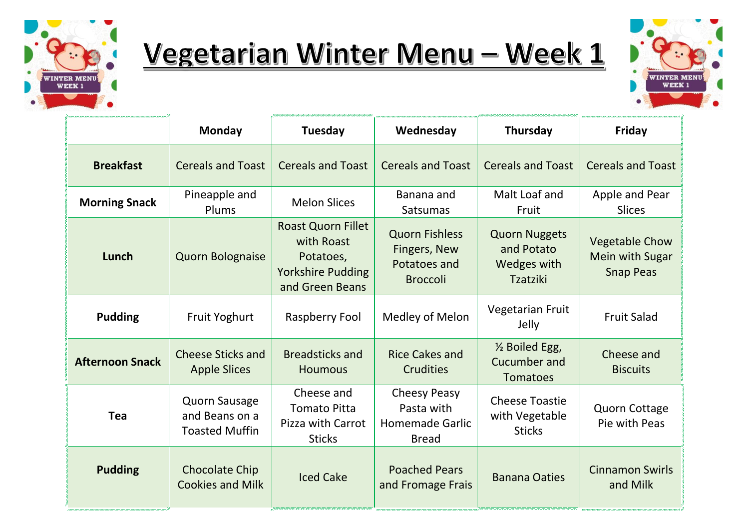

## Vegetarian Winter Menu - Week 1



|                        | <b>Monday</b>                                                   | <b>Tuesday</b>                                                                                      | Wednesday                                                                   | Thursday                                                      | Friday                                                              |
|------------------------|-----------------------------------------------------------------|-----------------------------------------------------------------------------------------------------|-----------------------------------------------------------------------------|---------------------------------------------------------------|---------------------------------------------------------------------|
| <b>Breakfast</b>       | <b>Cereals and Toast</b>                                        | <b>Cereals and Toast</b>                                                                            | <b>Cereals and Toast</b>                                                    | <b>Cereals and Toast</b>                                      | <b>Cereals and Toast</b>                                            |
| <b>Morning Snack</b>   | Pineapple and<br>Plums                                          | <b>Melon Slices</b>                                                                                 | Banana and<br><b>Satsumas</b>                                               | Malt Loaf and<br>Fruit                                        | Apple and Pear<br><b>Slices</b>                                     |
| Lunch                  | <b>Quorn Bolognaise</b>                                         | <b>Roast Quorn Fillet</b><br>with Roast<br>Potatoes,<br><b>Yorkshire Pudding</b><br>and Green Beans | <b>Quorn Fishless</b><br>Fingers, New<br>Potatoes and<br><b>Broccoli</b>    | <b>Quorn Nuggets</b><br>and Potato<br>Wedges with<br>Tzatziki | <b>Vegetable Chow</b><br><b>Mein with Sugar</b><br><b>Snap Peas</b> |
| <b>Pudding</b>         | <b>Fruit Yoghurt</b>                                            | Raspberry Fool                                                                                      | Medley of Melon                                                             | <b>Vegetarian Fruit</b><br>Jelly                              | <b>Fruit Salad</b>                                                  |
| <b>Afternoon Snack</b> | <b>Cheese Sticks and</b><br><b>Apple Slices</b>                 | <b>Breadsticks and</b><br><b>Houmous</b>                                                            | <b>Rice Cakes and</b><br><b>Crudities</b>                                   | 1/2 Boiled Egg,<br><b>Cucumber and</b><br><b>Tomatoes</b>     | Cheese and<br><b>Biscuits</b>                                       |
| Tea                    | <b>Quorn Sausage</b><br>and Beans on a<br><b>Toasted Muffin</b> | Cheese and<br><b>Tomato Pitta</b><br>Pizza with Carrot<br><b>Sticks</b>                             | <b>Cheesy Peasy</b><br>Pasta with<br><b>Homemade Garlic</b><br><b>Bread</b> | <b>Cheese Toastie</b><br>with Vegetable<br><b>Sticks</b>      | <b>Quorn Cottage</b><br>Pie with Peas                               |
| <b>Pudding</b>         | <b>Chocolate Chip</b><br><b>Cookies and Milk</b>                | <b>Iced Cake</b>                                                                                    | <b>Poached Pears</b><br>and Fromage Frais                                   | <b>Banana Oaties</b>                                          | <b>Cinnamon Swirls</b><br>and Milk                                  |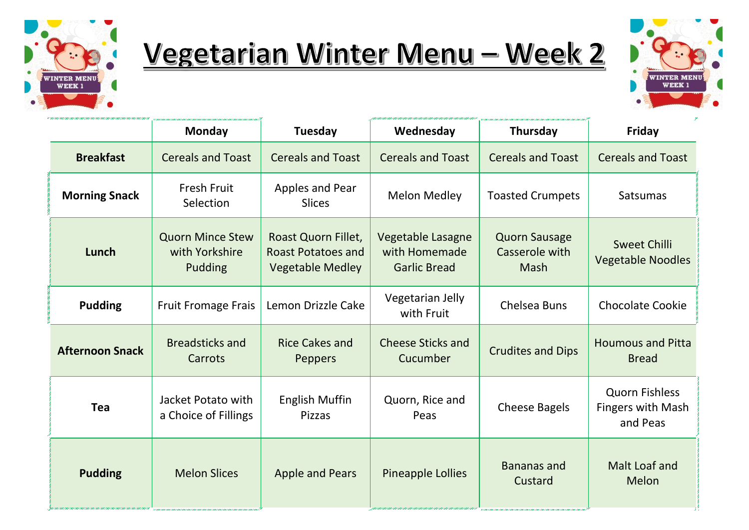

## Vegetarian Winter Menu - Week 2



|                        | <b>Monday</b>                                               | Tuesday                                                                     | Wednesday                                                 | Thursday                                       | $Z^\prime$<br>Friday                                          |
|------------------------|-------------------------------------------------------------|-----------------------------------------------------------------------------|-----------------------------------------------------------|------------------------------------------------|---------------------------------------------------------------|
| <b>Breakfast</b>       | <b>Cereals and Toast</b>                                    | <b>Cereals and Toast</b>                                                    | <b>Cereals and Toast</b>                                  | <b>Cereals and Toast</b>                       | <b>Cereals and Toast</b>                                      |
| <b>Morning Snack</b>   | <b>Fresh Fruit</b><br>Selection                             | Apples and Pear<br><b>Slices</b>                                            | <b>Melon Medley</b>                                       | <b>Toasted Crumpets</b>                        | Satsumas                                                      |
| Lunch                  | <b>Quorn Mince Stew</b><br>with Yorkshire<br><b>Pudding</b> | Roast Quorn Fillet,<br><b>Roast Potatoes and</b><br><b>Vegetable Medley</b> | Vegetable Lasagne<br>with Homemade<br><b>Garlic Bread</b> | <b>Quorn Sausage</b><br>Casserole with<br>Mash | <b>Sweet Chilli</b><br><b>Vegetable Noodles</b>               |
| <b>Pudding</b>         | <b>Fruit Fromage Frais</b>                                  | Lemon Drizzle Cake                                                          | Vegetarian Jelly<br>with Fruit                            | <b>Chelsea Buns</b>                            | <b>Chocolate Cookie</b>                                       |
| <b>Afternoon Snack</b> | <b>Breadsticks and</b><br>Carrots                           | <b>Rice Cakes and</b><br><b>Peppers</b>                                     | <b>Cheese Sticks and</b><br>Cucumber                      | <b>Crudites and Dips</b>                       | <b>Houmous and Pitta</b><br><b>Bread</b>                      |
| <b>Tea</b>             | Jacket Potato with<br>a Choice of Fillings                  | <b>English Muffin</b><br>Pizzas                                             | Quorn, Rice and<br>Peas                                   | <b>Cheese Bagels</b>                           | <b>Quorn Fishless</b><br><b>Fingers with Mash</b><br>and Peas |
| <b>Pudding</b>         | <b>Melon Slices</b>                                         | <b>Apple and Pears</b>                                                      | <b>Pineapple Lollies</b>                                  | <b>Bananas and</b><br>Custard                  | Malt Loaf and<br>Melon                                        |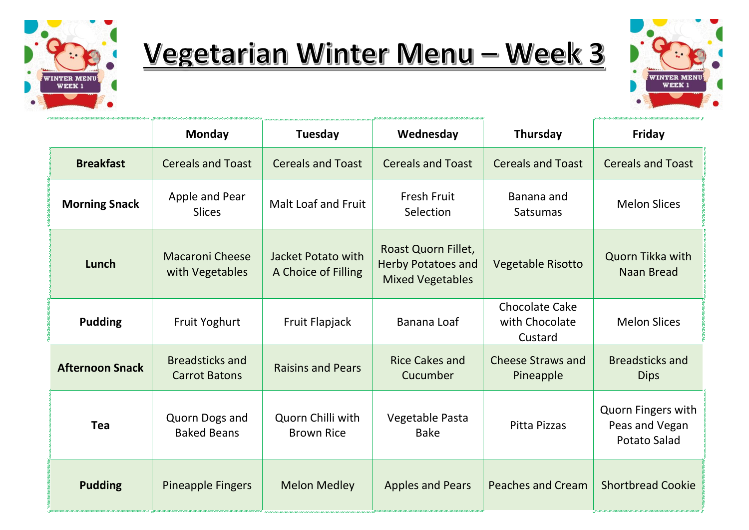

".<br>"An chicara an chicara chicara chicara chicara chicara chicara chicara chicara An chicara chicara chicara chicara chicara

## Vegetarian Winter Menu - Week 3



|                        | <b>Monday</b>                                  | Tuesday                                   | Wednesday                                                                   | <b>Thursday</b>                                    | Friday                                                             |
|------------------------|------------------------------------------------|-------------------------------------------|-----------------------------------------------------------------------------|----------------------------------------------------|--------------------------------------------------------------------|
| <b>Breakfast</b>       | <b>Cereals and Toast</b>                       | <b>Cereals and Toast</b>                  | <b>Cereals and Toast</b>                                                    | <b>Cereals and Toast</b>                           | <b>Cereals and Toast</b>                                           |
| <b>Morning Snack</b>   | Apple and Pear<br><b>Slices</b>                | Malt Loaf and Fruit                       | <b>Fresh Fruit</b><br>Selection                                             | Banana and<br><b>Satsumas</b>                      | <b>Melon Slices</b>                                                |
| Lunch                  | <b>Macaroni Cheese</b><br>with Vegetables      | Jacket Potato with<br>A Choice of Filling | Roast Quorn Fillet,<br><b>Herby Potatoes and</b><br><b>Mixed Vegetables</b> | <b>Vegetable Risotto</b>                           | Quorn Tikka with<br><b>Naan Bread</b>                              |
| <b>Pudding</b>         | <b>Fruit Yoghurt</b>                           | Fruit Flapjack                            | Banana Loaf                                                                 | <b>Chocolate Cake</b><br>with Chocolate<br>Custard | <b>Melon Slices</b>                                                |
| <b>Afternoon Snack</b> | <b>Breadsticks and</b><br><b>Carrot Batons</b> | <b>Raisins and Pears</b>                  | <b>Rice Cakes and</b><br>Cucumber                                           | <b>Cheese Straws and</b><br>Pineapple              | <b>Breadsticks and</b><br><b>Dips</b>                              |
| <b>Tea</b>             | Quorn Dogs and<br><b>Baked Beans</b>           | Quorn Chilli with<br><b>Brown Rice</b>    | Vegetable Pasta<br><b>Bake</b>                                              | <b>Pitta Pizzas</b>                                | <b>Quorn Fingers with</b><br>Peas and Vegan<br><b>Potato Salad</b> |
| <b>Pudding</b>         | <b>Pineapple Fingers</b>                       | <b>Melon Medley</b>                       | <b>Apples and Pears</b>                                                     | <b>Peaches and Cream</b>                           | <b>Shortbread Cookie</b>                                           |

.<br>Thank that the the contribution of the contribution of the contribution of the contribution of the contribution of the